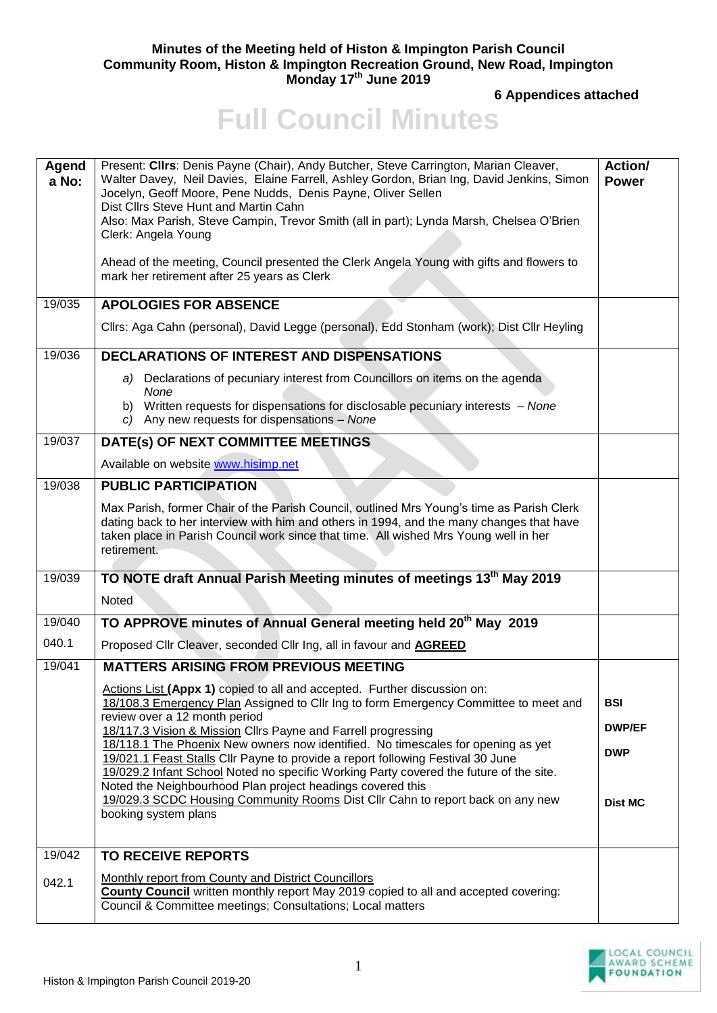## **Minutes of the Meeting held of Histon & Impington Parish Council Community Room, Histon & Impington Recreation Ground, New Road, Impington Monday 17 th June 2019**

**6 Appendices attached**

## **Full Council Minutes**

|                | Present: Cllrs: Denis Payne (Chair), Andy Butcher, Steve Carrington, Marian Cleaver,                                                                                                                                                                                                         | Action/                     |
|----------------|----------------------------------------------------------------------------------------------------------------------------------------------------------------------------------------------------------------------------------------------------------------------------------------------|-----------------------------|
| Agend<br>a No: | Walter Davey, Neil Davies, Elaine Farrell, Ashley Gordon, Brian Ing, David Jenkins, Simon<br>Jocelyn, Geoff Moore, Pene Nudds, Denis Payne, Oliver Sellen                                                                                                                                    | <b>Power</b>                |
|                | Dist Cllrs Steve Hunt and Martin Cahn<br>Also: Max Parish, Steve Campin, Trevor Smith (all in part); Lynda Marsh, Chelsea O'Brien<br>Clerk: Angela Young                                                                                                                                     |                             |
|                | Ahead of the meeting, Council presented the Clerk Angela Young with gifts and flowers to<br>mark her retirement after 25 years as Clerk                                                                                                                                                      |                             |
| 19/035         | <b>APOLOGIES FOR ABSENCE</b>                                                                                                                                                                                                                                                                 |                             |
|                | Cllrs: Aga Cahn (personal), David Legge (personal), Edd Stonham (work); Dist Cllr Heyling                                                                                                                                                                                                    |                             |
| 19/036         | <b>DECLARATIONS OF INTEREST AND DISPENSATIONS</b>                                                                                                                                                                                                                                            |                             |
|                | Declarations of pecuniary interest from Councillors on items on the agenda<br>a)<br>None                                                                                                                                                                                                     |                             |
|                | b) Written requests for dispensations for disclosable pecuniary interests - None<br>c) Any new requests for dispensations - None                                                                                                                                                             |                             |
| 19/037         | DATE(s) OF NEXT COMMITTEE MEETINGS                                                                                                                                                                                                                                                           |                             |
|                | Available on website www.hisimp.net                                                                                                                                                                                                                                                          |                             |
| 19/038         | <b>PUBLIC PARTICIPATION</b>                                                                                                                                                                                                                                                                  |                             |
|                | Max Parish, former Chair of the Parish Council, outlined Mrs Young's time as Parish Clerk<br>dating back to her interview with him and others in 1994, and the many changes that have<br>taken place in Parish Council work since that time. All wished Mrs Young well in her<br>retirement. |                             |
| 19/039         | TO NOTE draft Annual Parish Meeting minutes of meetings 13 <sup>th</sup> May 2019                                                                                                                                                                                                            |                             |
|                | Noted                                                                                                                                                                                                                                                                                        |                             |
| 19/040         | TO APPROVE minutes of Annual General meeting held 20 <sup>th</sup> May 2019                                                                                                                                                                                                                  |                             |
| 040.1          | Proposed Cllr Cleaver, seconded Cllr Ing, all in favour and <b>AGREED</b>                                                                                                                                                                                                                    |                             |
| 19/041         | <b>MATTERS ARISING FROM PREVIOUS MEETING</b>                                                                                                                                                                                                                                                 |                             |
|                | Actions List (Appx 1) copied to all and accepted. Further discussion on:<br>18/108.3 Emergency Plan Assigned to Cllr Ing to form Emergency Committee to meet and<br>review over a 12 month period                                                                                            | <b>BSI</b><br><b>DWP/EF</b> |
|                | 18/117.3 Vision & Mission Cllrs Payne and Farrell progressing<br>18/118.1 The Phoenix New owners now identified. No timescales for opening as yet                                                                                                                                            |                             |
|                | 19/021.1 Feast Stalls Cllr Payne to provide a report following Festival 30 June                                                                                                                                                                                                              | <b>DWP</b>                  |
|                | 19/029.2 Infant School Noted no specific Working Party covered the future of the site.<br>Noted the Neighbourhood Plan project headings covered this                                                                                                                                         |                             |
|                | 19/029.3 SCDC Housing Community Rooms Dist Cllr Cahn to report back on any new<br>booking system plans                                                                                                                                                                                       | <b>Dist MC</b>              |
|                |                                                                                                                                                                                                                                                                                              |                             |
| 19/042         | <b>TO RECEIVE REPORTS</b>                                                                                                                                                                                                                                                                    |                             |
| 042.1          | Monthly report from County and District Councillors<br><b>County Council</b> written monthly report May 2019 copied to all and accepted covering:<br>Council & Committee meetings; Consultations; Local matters                                                                              |                             |

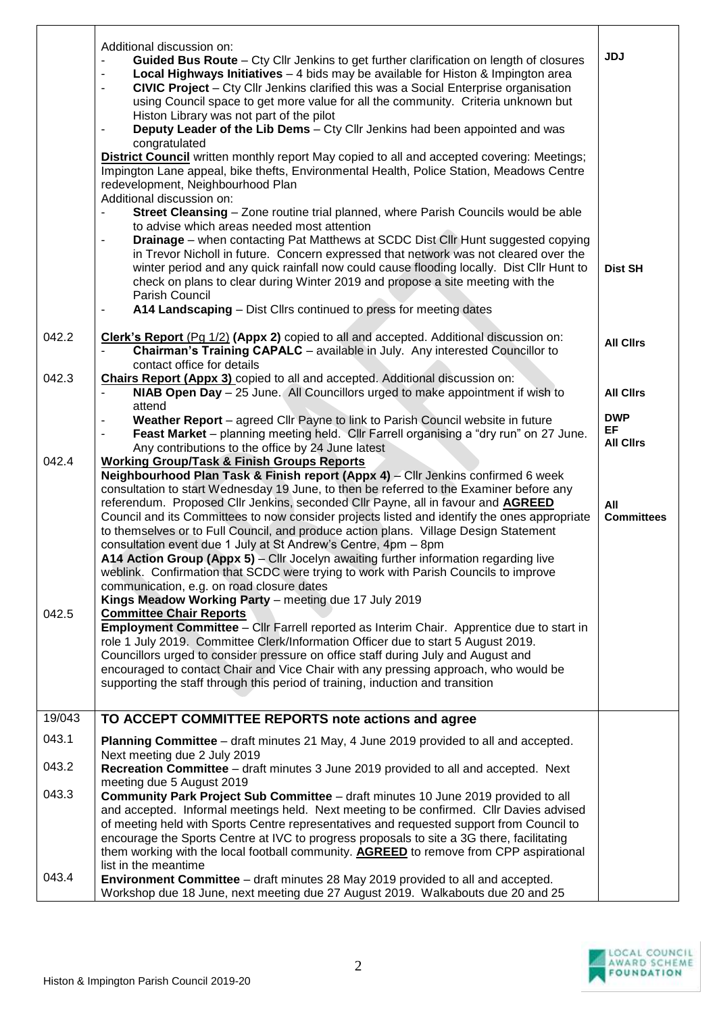|                         | Additional discussion on:<br>Guided Bus Route - Cty Cllr Jenkins to get further clarification on length of closures<br>$\blacksquare$<br>Local Highways Initiatives - 4 bids may be available for Histon & Impington area<br>$\blacksquare$<br>CIVIC Project - Cty Cllr Jenkins clarified this was a Social Enterprise organisation<br>$\blacksquare$<br>using Council space to get more value for all the community. Criteria unknown but<br>Histon Library was not part of the pilot<br>Deputy Leader of the Lib Dems - Cty Cllr Jenkins had been appointed and was<br>$\overline{\phantom{a}}$<br>congratulated<br>District Council written monthly report May copied to all and accepted covering: Meetings;<br>Impington Lane appeal, bike thefts, Environmental Health, Police Station, Meadows Centre<br>redevelopment, Neighbourhood Plan<br>Additional discussion on:<br><b>Street Cleansing</b> – Zone routine trial planned, where Parish Councils would be able<br>to advise which areas needed most attention<br><b>Drainage</b> – when contacting Pat Matthews at SCDC Dist Cllr Hunt suggested copying<br>$\blacksquare$<br>in Trevor Nicholl in future. Concern expressed that network was not cleared over the<br>winter period and any quick rainfall now could cause flooding locally. Dist Cllr Hunt to<br>check on plans to clear during Winter 2019 and propose a site meeting with the<br>Parish Council<br>A14 Landscaping - Dist Cllrs continued to press for meeting dates<br>٠                                                                                                                                                                                                                                                                                                                                               | <b>JDJ</b><br><b>Dist SH</b>                                                         |
|-------------------------|---------------------------------------------------------------------------------------------------------------------------------------------------------------------------------------------------------------------------------------------------------------------------------------------------------------------------------------------------------------------------------------------------------------------------------------------------------------------------------------------------------------------------------------------------------------------------------------------------------------------------------------------------------------------------------------------------------------------------------------------------------------------------------------------------------------------------------------------------------------------------------------------------------------------------------------------------------------------------------------------------------------------------------------------------------------------------------------------------------------------------------------------------------------------------------------------------------------------------------------------------------------------------------------------------------------------------------------------------------------------------------------------------------------------------------------------------------------------------------------------------------------------------------------------------------------------------------------------------------------------------------------------------------------------------------------------------------------------------------------------------------------------------------------------------------------------------------------------------------|--------------------------------------------------------------------------------------|
| 042.2                   | Clerk's Report (Pg 1/2) (Appx 2) copied to all and accepted. Additional discussion on:<br>Chairman's Training CAPALC - available in July. Any interested Councillor to                                                                                                                                                                                                                                                                                                                                                                                                                                                                                                                                                                                                                                                                                                                                                                                                                                                                                                                                                                                                                                                                                                                                                                                                                                                                                                                                                                                                                                                                                                                                                                                                                                                                                  | <b>All Clirs</b>                                                                     |
| 042.3<br>042.4<br>042.5 | contact office for details<br><b>Chairs Report (Appx 3)</b> copied to all and accepted. Additional discussion on:<br>NIAB Open Day - 25 June. All Councillors urged to make appointment if wish to<br>$\overline{\phantom{a}}$<br>attend<br>Weather Report - agreed Cllr Payne to link to Parish Council website in future<br>Feast Market - planning meeting held. Cllr Farrell organising a "dry run" on 27 June.<br>$\blacksquare$<br>Any contributions to the office by 24 June latest<br><b>Working Group/Task &amp; Finish Groups Reports</b><br>Neighbourhood Plan Task & Finish report (Appx 4) - Cllr Jenkins confirmed 6 week<br>consultation to start Wednesday 19 June, to then be referred to the Examiner before any<br>referendum. Proposed Cllr Jenkins, seconded Cllr Payne, all in favour and AGREED<br>Council and its Committees to now consider projects listed and identify the ones appropriate<br>to themselves or to Full Council, and produce action plans. Village Design Statement<br>consultation event due 1 July at St Andrew's Centre, 4pm - 8pm<br>A14 Action Group (Appx 5) – Cllr Jocelyn awaiting further information regarding live<br>weblink. Confirmation that SCDC were trying to work with Parish Councils to improve<br>communication, e.g. on road closure dates<br>Kings Meadow Working Party - meeting due 17 July 2019<br><b>Committee Chair Reports</b><br>Employment Committee - Cllr Farrell reported as Interim Chair. Apprentice due to start in<br>role 1 July 2019. Committee Clerk/Information Officer due to start 5 August 2019.<br>Councillors urged to consider pressure on office staff during July and August and<br>encouraged to contact Chair and Vice Chair with any pressing approach, who would be<br>supporting the staff through this period of training, induction and transition | <b>All Clirs</b><br><b>DWP</b><br>EF<br><b>All Clirs</b><br>All<br><b>Committees</b> |
| 19/043                  | TO ACCEPT COMMITTEE REPORTS note actions and agree                                                                                                                                                                                                                                                                                                                                                                                                                                                                                                                                                                                                                                                                                                                                                                                                                                                                                                                                                                                                                                                                                                                                                                                                                                                                                                                                                                                                                                                                                                                                                                                                                                                                                                                                                                                                      |                                                                                      |
| 043.1                   | Planning Committee - draft minutes 21 May, 4 June 2019 provided to all and accepted.<br>Next meeting due 2 July 2019                                                                                                                                                                                                                                                                                                                                                                                                                                                                                                                                                                                                                                                                                                                                                                                                                                                                                                                                                                                                                                                                                                                                                                                                                                                                                                                                                                                                                                                                                                                                                                                                                                                                                                                                    |                                                                                      |
| 043.2                   | Recreation Committee - draft minutes 3 June 2019 provided to all and accepted. Next                                                                                                                                                                                                                                                                                                                                                                                                                                                                                                                                                                                                                                                                                                                                                                                                                                                                                                                                                                                                                                                                                                                                                                                                                                                                                                                                                                                                                                                                                                                                                                                                                                                                                                                                                                     |                                                                                      |
| 043.3                   | meeting due 5 August 2019<br>Community Park Project Sub Committee - draft minutes 10 June 2019 provided to all<br>and accepted. Informal meetings held. Next meeting to be confirmed. Cllr Davies advised<br>of meeting held with Sports Centre representatives and requested support from Council to<br>encourage the Sports Centre at IVC to progress proposals to site a 3G there, facilitating<br>them working with the local football community. <b>AGREED</b> to remove from CPP aspirational<br>list in the meantime                                                                                                                                                                                                                                                                                                                                                                                                                                                                                                                                                                                                                                                                                                                                                                                                                                                                                                                                                                                                                                                                                                                                                                                                                                                                                                                             |                                                                                      |
| 043.4                   | <b>Environment Committee</b> – draft minutes 28 May 2019 provided to all and accepted.<br>Workshop due 18 June, next meeting due 27 August 2019. Walkabouts due 20 and 25                                                                                                                                                                                                                                                                                                                                                                                                                                                                                                                                                                                                                                                                                                                                                                                                                                                                                                                                                                                                                                                                                                                                                                                                                                                                                                                                                                                                                                                                                                                                                                                                                                                                               |                                                                                      |

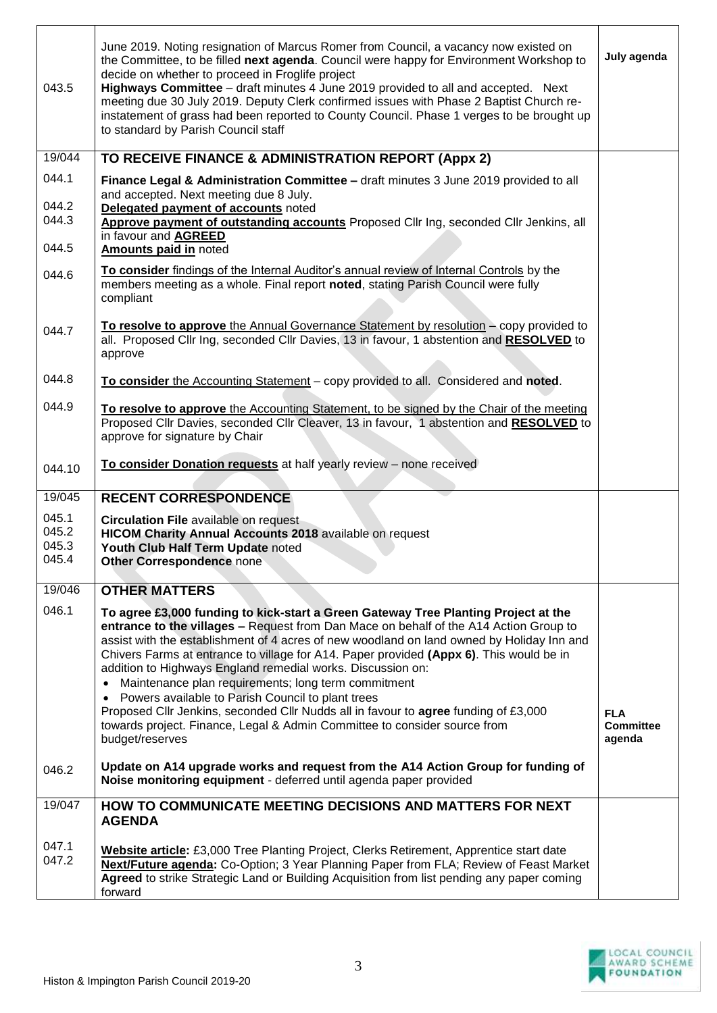| 043.5                            | June 2019. Noting resignation of Marcus Romer from Council, a vacancy now existed on<br>the Committee, to be filled next agenda. Council were happy for Environment Workshop to<br>decide on whether to proceed in Froglife project<br>Highways Committee - draft minutes 4 June 2019 provided to all and accepted. Next<br>meeting due 30 July 2019. Deputy Clerk confirmed issues with Phase 2 Baptist Church re-<br>instatement of grass had been reported to County Council. Phase 1 verges to be brought up<br>to standard by Parish Council staff                                                                                                                                                                                   | July agenda                              |
|----------------------------------|-------------------------------------------------------------------------------------------------------------------------------------------------------------------------------------------------------------------------------------------------------------------------------------------------------------------------------------------------------------------------------------------------------------------------------------------------------------------------------------------------------------------------------------------------------------------------------------------------------------------------------------------------------------------------------------------------------------------------------------------|------------------------------------------|
| 19/044                           | TO RECEIVE FINANCE & ADMINISTRATION REPORT (Appx 2)                                                                                                                                                                                                                                                                                                                                                                                                                                                                                                                                                                                                                                                                                       |                                          |
| 044.1<br>044.2                   | Finance Legal & Administration Committee - draft minutes 3 June 2019 provided to all<br>and accepted. Next meeting due 8 July.                                                                                                                                                                                                                                                                                                                                                                                                                                                                                                                                                                                                            |                                          |
| 044.3                            | Delegated payment of accounts noted<br>Approve payment of outstanding accounts Proposed Cllr Ing, seconded Cllr Jenkins, all<br>in favour and AGREED                                                                                                                                                                                                                                                                                                                                                                                                                                                                                                                                                                                      |                                          |
| 044.5                            | Amounts paid in noted                                                                                                                                                                                                                                                                                                                                                                                                                                                                                                                                                                                                                                                                                                                     |                                          |
| 044.6                            | To consider findings of the Internal Auditor's annual review of Internal Controls by the<br>members meeting as a whole. Final report noted, stating Parish Council were fully<br>compliant                                                                                                                                                                                                                                                                                                                                                                                                                                                                                                                                                |                                          |
| 044.7                            | To resolve to approve the Annual Governance Statement by resolution - copy provided to<br>all. Proposed Cllr Ing, seconded Cllr Davies, 13 in favour, 1 abstention and RESOLVED to<br>approve                                                                                                                                                                                                                                                                                                                                                                                                                                                                                                                                             |                                          |
| 044.8                            | To consider the Accounting Statement - copy provided to all. Considered and noted.                                                                                                                                                                                                                                                                                                                                                                                                                                                                                                                                                                                                                                                        |                                          |
| 044.9                            | To resolve to approve the Accounting Statement, to be signed by the Chair of the meeting<br>Proposed Cllr Davies, seconded Cllr Cleaver, 13 in favour, 1 abstention and RESOLVED to<br>approve for signature by Chair                                                                                                                                                                                                                                                                                                                                                                                                                                                                                                                     |                                          |
| 044.10                           | To consider Donation requests at half yearly review - none received                                                                                                                                                                                                                                                                                                                                                                                                                                                                                                                                                                                                                                                                       |                                          |
| 19/045                           | <b>RECENT CORRESPONDENCE</b>                                                                                                                                                                                                                                                                                                                                                                                                                                                                                                                                                                                                                                                                                                              |                                          |
| 045.1<br>045.2<br>045.3<br>045.4 | <b>Circulation File available on request</b><br>HICOM Charity Annual Accounts 2018 available on request<br>Youth Club Half Term Update noted<br>Other Correspondence none                                                                                                                                                                                                                                                                                                                                                                                                                                                                                                                                                                 |                                          |
| 19/046                           | <b>OTHER MATTERS</b>                                                                                                                                                                                                                                                                                                                                                                                                                                                                                                                                                                                                                                                                                                                      |                                          |
| 046.1                            | To agree £3,000 funding to kick-start a Green Gateway Tree Planting Project at the<br>entrance to the villages - Request from Dan Mace on behalf of the A14 Action Group to<br>assist with the establishment of 4 acres of new woodland on land owned by Holiday Inn and<br>Chivers Farms at entrance to village for A14. Paper provided (Appx 6). This would be in<br>addition to Highways England remedial works. Discussion on:<br>• Maintenance plan requirements; long term commitment<br>• Powers available to Parish Council to plant trees<br>Proposed Cllr Jenkins, seconded Cllr Nudds all in favour to agree funding of £3,000<br>towards project. Finance, Legal & Admin Committee to consider source from<br>budget/reserves | <b>FLA</b><br><b>Committee</b><br>agenda |
| 046.2                            | Update on A14 upgrade works and request from the A14 Action Group for funding of<br>Noise monitoring equipment - deferred until agenda paper provided                                                                                                                                                                                                                                                                                                                                                                                                                                                                                                                                                                                     |                                          |
| 19/047                           | HOW TO COMMUNICATE MEETING DECISIONS AND MATTERS FOR NEXT<br><b>AGENDA</b>                                                                                                                                                                                                                                                                                                                                                                                                                                                                                                                                                                                                                                                                |                                          |
| 047.1<br>047.2                   | Website article: £3,000 Tree Planting Project, Clerks Retirement, Apprentice start date<br>Next/Future agenda: Co-Option; 3 Year Planning Paper from FLA; Review of Feast Market<br>Agreed to strike Strategic Land or Building Acquisition from list pending any paper coming<br>forward                                                                                                                                                                                                                                                                                                                                                                                                                                                 |                                          |